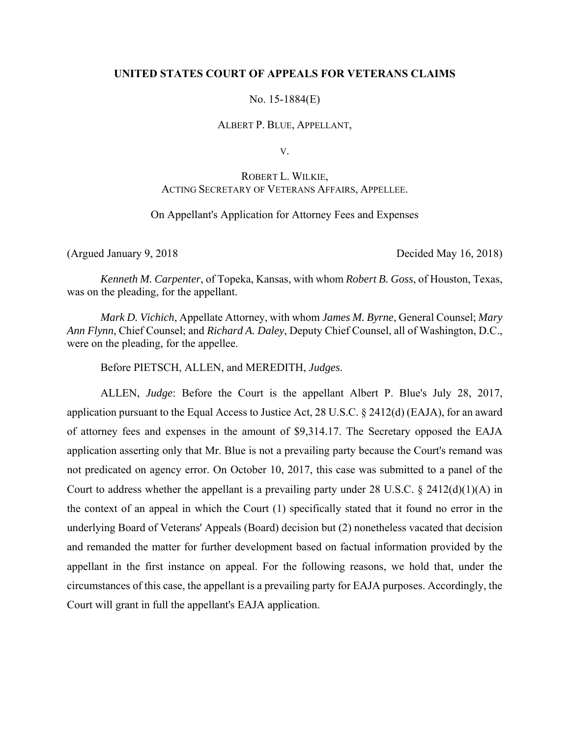# **UNITED STATES COURT OF APPEALS FOR VETERANS CLAIMS**

No. 15-1884(E)

### ALBERT P. BLUE, APPELLANT,

V.

# ROBERT L. WILKIE, ACTING SECRETARY OF VETERANS AFFAIRS, APPELLEE.

# On Appellant's Application for Attorney Fees and Expenses

(Argued January 9, 2018 Decided May 16, 2018)

*Kenneth M. Carpenter*, of Topeka, Kansas, with whom *Robert B. Goss*, of Houston, Texas, was on the pleading, for the appellant.

*Mark D. Vichich*, Appellate Attorney, with whom *James M. Byrne*, General Counsel; *Mary Ann Flynn*, Chief Counsel; and *Richard A. Daley*, Deputy Chief Counsel, all of Washington, D.C., were on the pleading, for the appellee.

Before PIETSCH, ALLEN, and MEREDITH, *Judges*.

ALLEN, *Judge*: Before the Court is the appellant Albert P. Blue's July 28, 2017, application pursuant to the Equal Access to Justice Act, 28 U.S.C. § 2412(d) (EAJA), for an award of attorney fees and expenses in the amount of \$9,314.17. The Secretary opposed the EAJA application asserting only that Mr. Blue is not a prevailing party because the Court's remand was not predicated on agency error. On October 10, 2017, this case was submitted to a panel of the Court to address whether the appellant is a prevailing party under 28 U.S.C.  $\S$  2412(d)(1)(A) in the context of an appeal in which the Court (1) specifically stated that it found no error in the underlying Board of Veterans' Appeals (Board) decision but (2) nonetheless vacated that decision and remanded the matter for further development based on factual information provided by the appellant in the first instance on appeal. For the following reasons, we hold that, under the circumstances of this case, the appellant is a prevailing party for EAJA purposes. Accordingly, the Court will grant in full the appellant's EAJA application.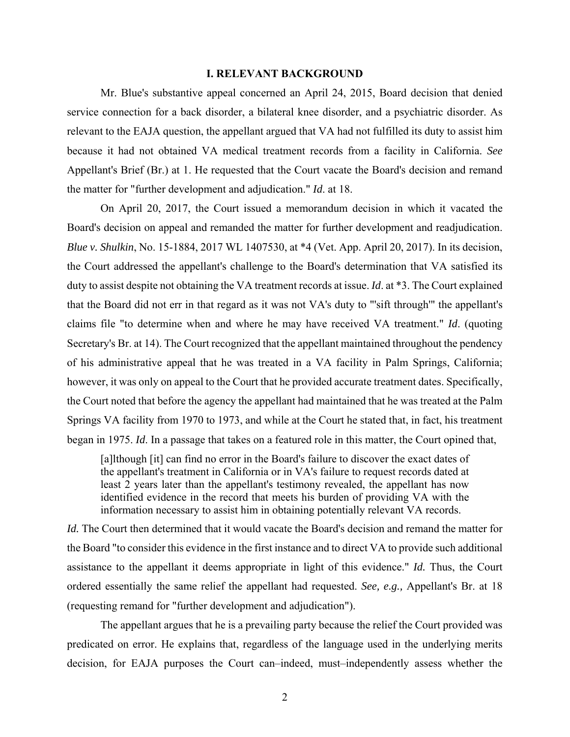### **I. RELEVANT BACKGROUND**

Mr. Blue's substantive appeal concerned an April 24, 2015, Board decision that denied service connection for a back disorder, a bilateral knee disorder, and a psychiatric disorder. As relevant to the EAJA question, the appellant argued that VA had not fulfilled its duty to assist him because it had not obtained VA medical treatment records from a facility in California. *See*  Appellant's Brief (Br.) at 1. He requested that the Court vacate the Board's decision and remand the matter for "further development and adjudication." *Id*. at 18.

On April 20, 2017, the Court issued a memorandum decision in which it vacated the Board's decision on appeal and remanded the matter for further development and readjudication. *Blue v. Shulkin*, No. 15-1884, 2017 WL 1407530, at \*4 (Vet. App. April 20, 2017). In its decision, the Court addressed the appellant's challenge to the Board's determination that VA satisfied its duty to assist despite not obtaining the VA treatment records at issue. *Id*. at \*3. The Court explained that the Board did not err in that regard as it was not VA's duty to "'sift through'" the appellant's claims file "to determine when and where he may have received VA treatment." *Id*. (quoting Secretary's Br. at 14). The Court recognized that the appellant maintained throughout the pendency of his administrative appeal that he was treated in a VA facility in Palm Springs, California; however, it was only on appeal to the Court that he provided accurate treatment dates. Specifically, the Court noted that before the agency the appellant had maintained that he was treated at the Palm Springs VA facility from 1970 to 1973, and while at the Court he stated that, in fact, his treatment began in 1975. *Id*. In a passage that takes on a featured role in this matter, the Court opined that,

[a]lthough [it] can find no error in the Board's failure to discover the exact dates of the appellant's treatment in California or in VA's failure to request records dated at least 2 years later than the appellant's testimony revealed, the appellant has now identified evidence in the record that meets his burden of providing VA with the information necessary to assist him in obtaining potentially relevant VA records.

*Id.* The Court then determined that it would vacate the Board's decision and remand the matter for the Board "to consider this evidence in the first instance and to direct VA to provide such additional assistance to the appellant it deems appropriate in light of this evidence." *Id.* Thus, the Court ordered essentially the same relief the appellant had requested. *See, e.g.,* Appellant's Br. at 18 (requesting remand for "further development and adjudication").

The appellant argues that he is a prevailing party because the relief the Court provided was predicated on error. He explains that, regardless of the language used in the underlying merits decision, for EAJA purposes the Court can–indeed, must–independently assess whether the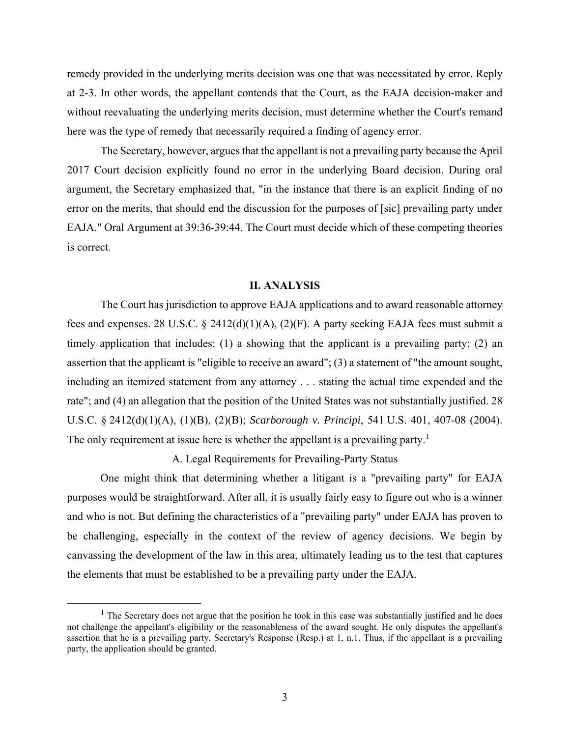remedy provided in the underlying merits decision was one that was necessitated by error. Reply at 2-3. In other words, the appellant contends that the Court, as the EAJA decision-maker and without reevaluating the underlying merits decision, must determine whether the Court's remand here was the type of remedy that necessarily required a finding of agency error.

The Secretary, however, argues that the appellant is not a prevailing party because the April 2017 Court decision explicitly found no error in the underlying Board decision. During oral argument, the Secretary emphasized that, "in the instance that there is an explicit finding of no error on the merits, that should end the discussion for the purposes of [sic] prevailing party under EAJA." Oral Argument at 39:36-39:44. The Court must decide which of these competing theories is correct.

#### **II. ANALYSIS**

The Court has jurisdiction to approve EAJA applications and to award reasonable attorney fees and expenses. 28 U.S.C. § 2412(d)(1)(A), (2)(F). A party seeking EAJA fees must submit a timely application that includes: (1) a showing that the applicant is a prevailing party; (2) an assertion that the applicant is "eligible to receive an award"; (3) a statement of "the amount sought, including an itemized statement from any attorney . . . stating the actual time expended and the rate"; and (4) an allegation that the position of the United States was not substantially justified. 28 U.S.C. § 2412(d)(1)(A), (1)(B), (2)(B); *Scarborough v. Principi*, 541 U.S. 401, 407-08 (2004). The only requirement at issue here is whether the appellant is a prevailing party.<sup>1</sup>

A. Legal Requirements for Prevailing-Party Status

One might think that determining whether a litigant is a "prevailing party" for EAJA purposes would be straightforward. After all, it is usually fairly easy to figure out who is a winner and who is not. But defining the characteristics of a "prevailing party" under EAJA has proven to be challenging, especially in the context of the review of agency decisions. We begin by canvassing the development of the law in this area, ultimately leading us to the test that captures the elements that must be established to be a prevailing party under the EAJA.

 $<sup>1</sup>$  The Secretary does not argue that the position he took in this case was substantially justified and he does</sup> not challenge the appellant's eligibility or the reasonableness of the award sought. He only disputes the appellant's assertion that he is a prevailing party. Secretary's Response (Resp.) at 1, n.1. Thus, if the appellant is a prevailing party, the application should be granted.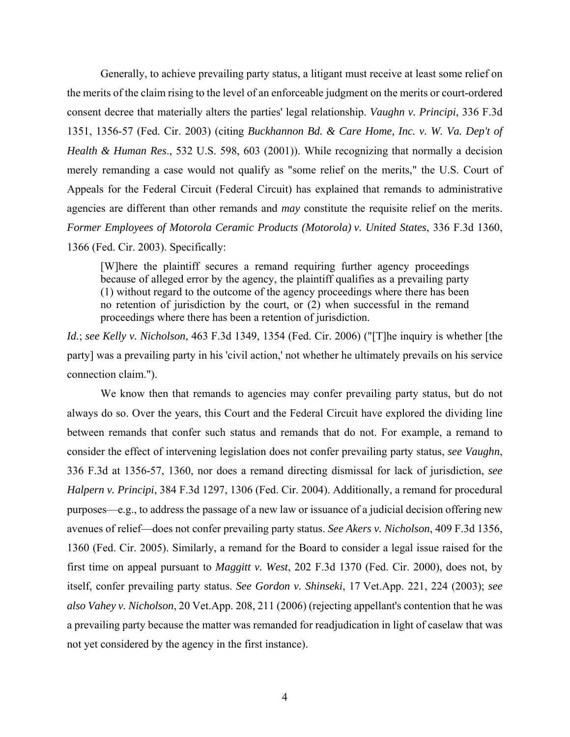Generally, to achieve prevailing party status, a litigant must receive at least some relief on the merits of the claim rising to the level of an enforceable judgment on the merits or court-ordered consent decree that materially alters the parties' legal relationship. *Vaughn v. Principi*, 336 F.3d 1351, 1356-57 (Fed. Cir. 2003) (citing *Buckhannon Bd. & Care Home, Inc. v. W. Va. Dep't of Health & Human Res*., 532 U.S. 598, 603 (2001)). While recognizing that normally a decision merely remanding a case would not qualify as "some relief on the merits," the U.S. Court of Appeals for the Federal Circuit (Federal Circuit) has explained that remands to administrative agencies are different than other remands and *may* constitute the requisite relief on the merits. *Former Employees of Motorola Ceramic Products (Motorola) v. United States*, 336 F.3d 1360, 1366 (Fed. Cir. 2003). Specifically:

[W]here the plaintiff secures a remand requiring further agency proceedings because of alleged error by the agency, the plaintiff qualifies as a prevailing party (1) without regard to the outcome of the agency proceedings where there has been no retention of jurisdiction by the court, or (2) when successful in the remand proceedings where there has been a retention of jurisdiction.

*Id.*; *see Kelly v. Nicholson*, 463 F.3d 1349, 1354 (Fed. Cir. 2006) ("[T]he inquiry is whether [the party] was a prevailing party in his 'civil action,' not whether he ultimately prevails on his service connection claim.").

We know then that remands to agencies may confer prevailing party status, but do not always do so. Over the years, this Court and the Federal Circuit have explored the dividing line between remands that confer such status and remands that do not. For example, a remand to consider the effect of intervening legislation does not confer prevailing party status, *see Vaughn*, 336 F.3d at 1356-57, 1360, nor does a remand directing dismissal for lack of jurisdiction, *see Halpern v. Principi*, 384 F.3d 1297, 1306 (Fed. Cir. 2004). Additionally, a remand for procedural purposes—e.g., to address the passage of a new law or issuance of a judicial decision offering new avenues of relief—does not confer prevailing party status. *See Akers v. Nicholson*, 409 F.3d 1356, 1360 (Fed. Cir. 2005). Similarly, a remand for the Board to consider a legal issue raised for the first time on appeal pursuant to *Maggitt v. West*, 202 F.3d 1370 (Fed. Cir. 2000), does not, by itself, confer prevailing party status. *See Gordon v. Shinseki*, 17 Vet.App. 221, 224 (2003); *see also Vahey v. Nicholson*, 20 Vet.App. 208, 211 (2006) (rejecting appellant's contention that he was a prevailing party because the matter was remanded for readjudication in light of caselaw that was not yet considered by the agency in the first instance).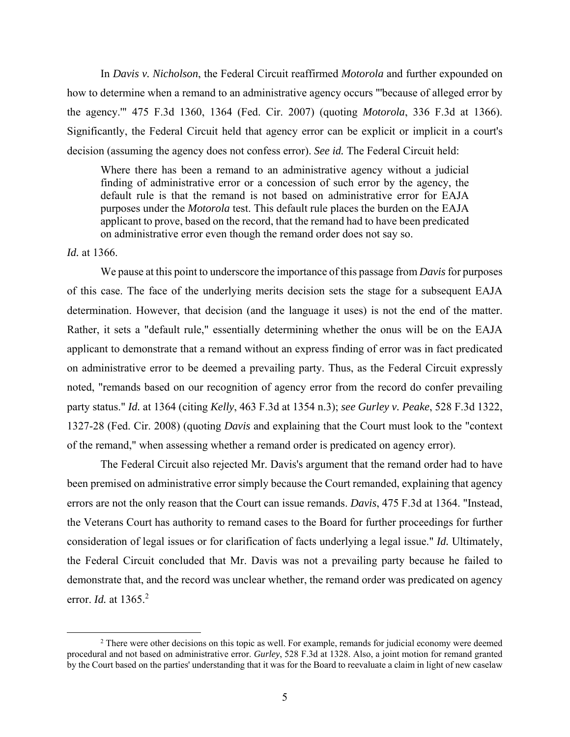In *Davis v. Nicholson*, the Federal Circuit reaffirmed *Motorola* and further expounded on how to determine when a remand to an administrative agency occurs "'because of alleged error by the agency.'" 475 F.3d 1360, 1364 (Fed. Cir. 2007) (quoting *Motorola*, 336 F.3d at 1366). Significantly, the Federal Circuit held that agency error can be explicit or implicit in a court's decision (assuming the agency does not confess error). *See id.* The Federal Circuit held:

Where there has been a remand to an administrative agency without a judicial finding of administrative error or a concession of such error by the agency, the default rule is that the remand is not based on administrative error for EAJA purposes under the *Motorola* test. This default rule places the burden on the EAJA applicant to prove, based on the record, that the remand had to have been predicated on administrative error even though the remand order does not say so.

### *Id.* at 1366.

We pause at this point to underscore the importance of this passage from *Davis* for purposes of this case. The face of the underlying merits decision sets the stage for a subsequent EAJA determination. However, that decision (and the language it uses) is not the end of the matter. Rather, it sets a "default rule," essentially determining whether the onus will be on the EAJA applicant to demonstrate that a remand without an express finding of error was in fact predicated on administrative error to be deemed a prevailing party. Thus, as the Federal Circuit expressly noted, "remands based on our recognition of agency error from the record do confer prevailing party status." *Id.* at 1364 (citing *Kelly*, 463 F.3d at 1354 n.3); *see Gurley v. Peake*, 528 F.3d 1322, 1327-28 (Fed. Cir. 2008) (quoting *Davis* and explaining that the Court must look to the "context of the remand," when assessing whether a remand order is predicated on agency error).

The Federal Circuit also rejected Mr. Davis's argument that the remand order had to have been premised on administrative error simply because the Court remanded, explaining that agency errors are not the only reason that the Court can issue remands. *Davis*, 475 F.3d at 1364. "Instead, the Veterans Court has authority to remand cases to the Board for further proceedings for further consideration of legal issues or for clarification of facts underlying a legal issue." *Id.* Ultimately, the Federal Circuit concluded that Mr. Davis was not a prevailing party because he failed to demonstrate that, and the record was unclear whether, the remand order was predicated on agency error. *Id.* at 1365.2

 $\begin{array}{c|c}\n\hline\n\text{2}\n\end{array}$ <sup>2</sup> There were other decisions on this topic as well. For example, remands for judicial economy were deemed procedural and not based on administrative error. *Gurley*, 528 F.3d at 1328. Also, a joint motion for remand granted by the Court based on the parties' understanding that it was for the Board to reevaluate a claim in light of new caselaw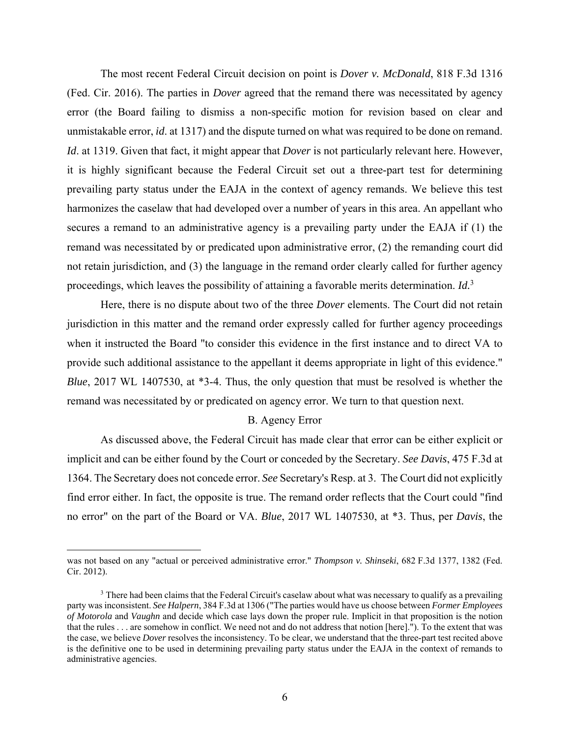The most recent Federal Circuit decision on point is *Dover v. McDonald*, 818 F.3d 1316 (Fed. Cir. 2016). The parties in *Dover* agreed that the remand there was necessitated by agency error (the Board failing to dismiss a non-specific motion for revision based on clear and unmistakable error, *id*. at 1317) and the dispute turned on what was required to be done on remand. *Id*. at 1319. Given that fact, it might appear that *Dover* is not particularly relevant here. However, it is highly significant because the Federal Circuit set out a three-part test for determining prevailing party status under the EAJA in the context of agency remands. We believe this test harmonizes the caselaw that had developed over a number of years in this area. An appellant who secures a remand to an administrative agency is a prevailing party under the EAJA if (1) the remand was necessitated by or predicated upon administrative error, (2) the remanding court did not retain jurisdiction, and (3) the language in the remand order clearly called for further agency proceedings, which leaves the possibility of attaining a favorable merits determination. *Id.*<sup>3</sup>

Here, there is no dispute about two of the three *Dover* elements. The Court did not retain jurisdiction in this matter and the remand order expressly called for further agency proceedings when it instructed the Board "to consider this evidence in the first instance and to direct VA to provide such additional assistance to the appellant it deems appropriate in light of this evidence." *Blue*, 2017 WL 1407530, at \*3-4. Thus, the only question that must be resolved is whether the remand was necessitated by or predicated on agency error. We turn to that question next.

# B. Agency Error

 As discussed above, the Federal Circuit has made clear that error can be either explicit or implicit and can be either found by the Court or conceded by the Secretary. *See Davis*, 475 F.3d at 1364. The Secretary does not concede error. *See* Secretary's Resp. at 3. The Court did not explicitly find error either. In fact, the opposite is true. The remand order reflects that the Court could "find no error" on the part of the Board or VA. *Blue*, 2017 WL 1407530, at \*3. Thus, per *Davis*, the

<u>.</u>

was not based on any "actual or perceived administrative error." *Thompson v. Shinseki*, 682 F.3d 1377, 1382 (Fed. Cir. 2012).

<sup>&</sup>lt;sup>3</sup> There had been claims that the Federal Circuit's caselaw about what was necessary to qualify as a prevailing party was inconsistent. *See Halpern*, 384 F.3d at 1306 ("The parties would have us choose between *Former Employees of Motorola* and *Vaughn* and decide which case lays down the proper rule. Implicit in that proposition is the notion that the rules . . . are somehow in conflict. We need not and do not address that notion [here]."). To the extent that was the case, we believe *Dover* resolves the inconsistency. To be clear, we understand that the three-part test recited above is the definitive one to be used in determining prevailing party status under the EAJA in the context of remands to administrative agencies.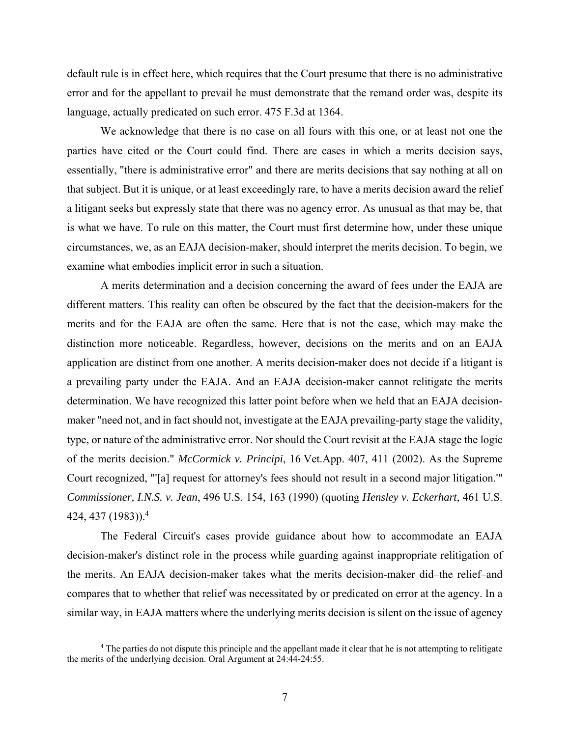default rule is in effect here, which requires that the Court presume that there is no administrative error and for the appellant to prevail he must demonstrate that the remand order was, despite its language, actually predicated on such error. 475 F.3d at 1364.

We acknowledge that there is no case on all fours with this one, or at least not one the parties have cited or the Court could find. There are cases in which a merits decision says, essentially, "there is administrative error" and there are merits decisions that say nothing at all on that subject. But it is unique, or at least exceedingly rare, to have a merits decision award the relief a litigant seeks but expressly state that there was no agency error. As unusual as that may be, that is what we have. To rule on this matter, the Court must first determine how, under these unique circumstances, we, as an EAJA decision-maker, should interpret the merits decision. To begin, we examine what embodies implicit error in such a situation.

 A merits determination and a decision concerning the award of fees under the EAJA are different matters. This reality can often be obscured by the fact that the decision-makers for the merits and for the EAJA are often the same. Here that is not the case, which may make the distinction more noticeable. Regardless, however, decisions on the merits and on an EAJA application are distinct from one another. A merits decision-maker does not decide if a litigant is a prevailing party under the EAJA. And an EAJA decision-maker cannot relitigate the merits determination. We have recognized this latter point before when we held that an EAJA decisionmaker "need not, and in fact should not, investigate at the EAJA prevailing-party stage the validity, type, or nature of the administrative error. Nor should the Court revisit at the EAJA stage the logic of the merits decision." *McCormick v. Principi*, 16 Vet.App. 407, 411 (2002). As the Supreme Court recognized, "'[a] request for attorney's fees should not result in a second major litigation.'" *Commissioner, I.N.S. v. Jean*, 496 U.S. 154, 163 (1990) (quoting *Hensley v. Eckerhart*, 461 U.S. 424, 437 (1983)).4

 The Federal Circuit's cases provide guidance about how to accommodate an EAJA decision-maker's distinct role in the process while guarding against inappropriate relitigation of the merits. An EAJA decision-maker takes what the merits decision-maker did–the relief–and compares that to whether that relief was necessitated by or predicated on error at the agency. In a similar way, in EAJA matters where the underlying merits decision is silent on the issue of agency

 $\overline{a}$  The parties do not dispute this principle and the appellant made it clear that he is not attempting to relitigate the merits of the underlying decision. Oral Argument at 24:44-24:55.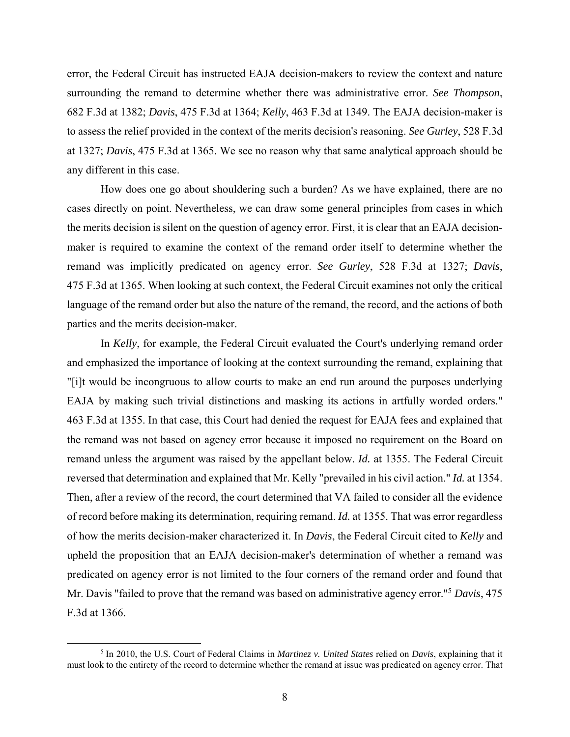error, the Federal Circuit has instructed EAJA decision-makers to review the context and nature surrounding the remand to determine whether there was administrative error. *See Thompson*, 682 F.3d at 1382; *Davis*, 475 F.3d at 1364; *Kelly*, 463 F.3d at 1349. The EAJA decision-maker is to assess the relief provided in the context of the merits decision's reasoning. *See Gurley*, 528 F.3d at 1327; *Davis*, 475 F.3d at 1365. We see no reason why that same analytical approach should be any different in this case.

How does one go about shouldering such a burden? As we have explained, there are no cases directly on point. Nevertheless, we can draw some general principles from cases in which the merits decision is silent on the question of agency error. First, it is clear that an EAJA decisionmaker is required to examine the context of the remand order itself to determine whether the remand was implicitly predicated on agency error. *See Gurley*, 528 F.3d at 1327; *Davis*, 475 F.3d at 1365. When looking at such context, the Federal Circuit examines not only the critical language of the remand order but also the nature of the remand, the record, and the actions of both parties and the merits decision-maker.

In *Kelly*, for example, the Federal Circuit evaluated the Court's underlying remand order and emphasized the importance of looking at the context surrounding the remand, explaining that "[i]t would be incongruous to allow courts to make an end run around the purposes underlying EAJA by making such trivial distinctions and masking its actions in artfully worded orders." 463 F.3d at 1355. In that case, this Court had denied the request for EAJA fees and explained that the remand was not based on agency error because it imposed no requirement on the Board on remand unless the argument was raised by the appellant below. *Id.* at 1355. The Federal Circuit reversed that determination and explained that Mr. Kelly "prevailed in his civil action." *Id.* at 1354. Then, after a review of the record, the court determined that VA failed to consider all the evidence of record before making its determination, requiring remand. *Id.* at 1355. That was error regardless of how the merits decision-maker characterized it. In *Davis*, the Federal Circuit cited to *Kelly* and upheld the proposition that an EAJA decision-maker's determination of whether a remand was predicated on agency error is not limited to the four corners of the remand order and found that Mr. Davis "failed to prove that the remand was based on administrative agency error."5 *Davis*, 475 F.3d at 1366.

 $rac{1}{\sqrt{1-\frac{1}{\sqrt{1-\frac{1}{\sqrt{1-\frac{1}{\sqrt{1-\frac{1}{\sqrt{1-\frac{1}{\sqrt{1-\frac{1}{\sqrt{1-\frac{1}{\sqrt{1-\frac{1}{\sqrt{1-\frac{1}{\sqrt{1-\frac{1}{\sqrt{1-\frac{1}{\sqrt{1-\frac{1}{\sqrt{1-\frac{1}{\sqrt{1-\frac{1}{\sqrt{1-\frac{1}{\sqrt{1-\frac{1}{\sqrt{1-\frac{1}{\sqrt{1-\frac{1}{\sqrt{1-\frac{1}{\sqrt{1-\frac{1}{\sqrt{1-\frac{1}{\sqrt{1-\frac{1}{\sqrt{1-\frac{1}{\sqrt{1-\frac{1}{$ <sup>5</sup> In 2010, the U.S. Court of Federal Claims in *Martinez v. United States* relied on *Davis*, explaining that it must look to the entirety of the record to determine whether the remand at issue was predicated on agency error. That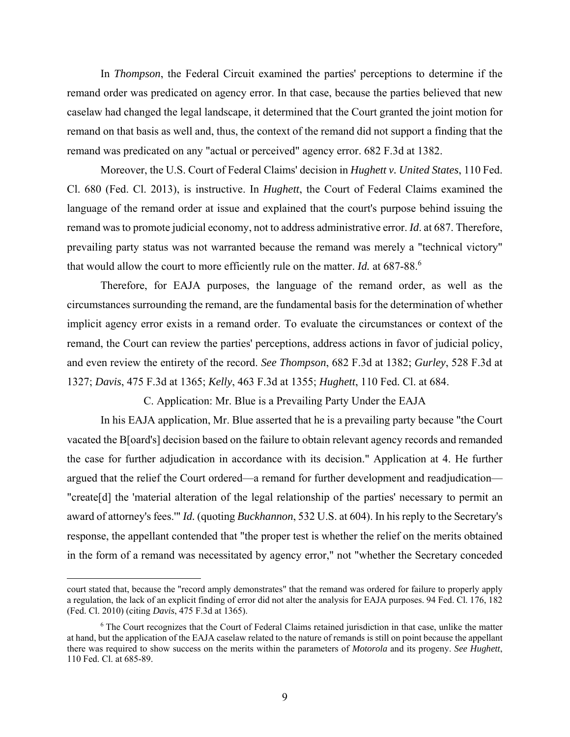In *Thompson*, the Federal Circuit examined the parties' perceptions to determine if the remand order was predicated on agency error. In that case, because the parties believed that new caselaw had changed the legal landscape, it determined that the Court granted the joint motion for remand on that basis as well and, thus, the context of the remand did not support a finding that the remand was predicated on any "actual or perceived" agency error. 682 F.3d at 1382.

Moreover, the U.S. Court of Federal Claims' decision in *Hughett v. United States*, 110 Fed. Cl. 680 (Fed. Cl. 2013), is instructive. In *Hughett*, the Court of Federal Claims examined the language of the remand order at issue and explained that the court's purpose behind issuing the remand was to promote judicial economy, not to address administrative error. *Id*. at 687. Therefore, prevailing party status was not warranted because the remand was merely a "technical victory" that would allow the court to more efficiently rule on the matter. *Id.* at 687-88.6

 Therefore, for EAJA purposes, the language of the remand order, as well as the circumstances surrounding the remand, are the fundamental basis for the determination of whether implicit agency error exists in a remand order. To evaluate the circumstances or context of the remand, the Court can review the parties' perceptions, address actions in favor of judicial policy, and even review the entirety of the record. *See Thompson*, 682 F.3d at 1382; *Gurley*, 528 F.3d at 1327; *Davis*, 475 F.3d at 1365; *Kelly*, 463 F.3d at 1355; *Hughett*, 110 Fed. Cl. at 684.

C. Application: Mr. Blue is a Prevailing Party Under the EAJA

In his EAJA application, Mr. Blue asserted that he is a prevailing party because "the Court vacated the B[oard's] decision based on the failure to obtain relevant agency records and remanded the case for further adjudication in accordance with its decision." Application at 4. He further argued that the relief the Court ordered—a remand for further development and readjudication— "create[d] the 'material alteration of the legal relationship of the parties' necessary to permit an award of attorney's fees.'" *Id.* (quoting *Buckhannon*, 532 U.S. at 604). In his reply to the Secretary's response, the appellant contended that "the proper test is whether the relief on the merits obtained in the form of a remand was necessitated by agency error," not "whether the Secretary conceded

 $\overline{a}$ 

court stated that, because the "record amply demonstrates" that the remand was ordered for failure to properly apply a regulation, the lack of an explicit finding of error did not alter the analysis for EAJA purposes. 94 Fed. Cl. 176, 182 (Fed. Cl. 2010) (citing *Davis*, 475 F.3d at 1365).

<sup>&</sup>lt;sup>6</sup> The Court recognizes that the Court of Federal Claims retained jurisdiction in that case, unlike the matter at hand, but the application of the EAJA caselaw related to the nature of remands is still on point because the appellant there was required to show success on the merits within the parameters of *Motorola* and its progeny. *See Hughett*, 110 Fed. Cl. at 685-89.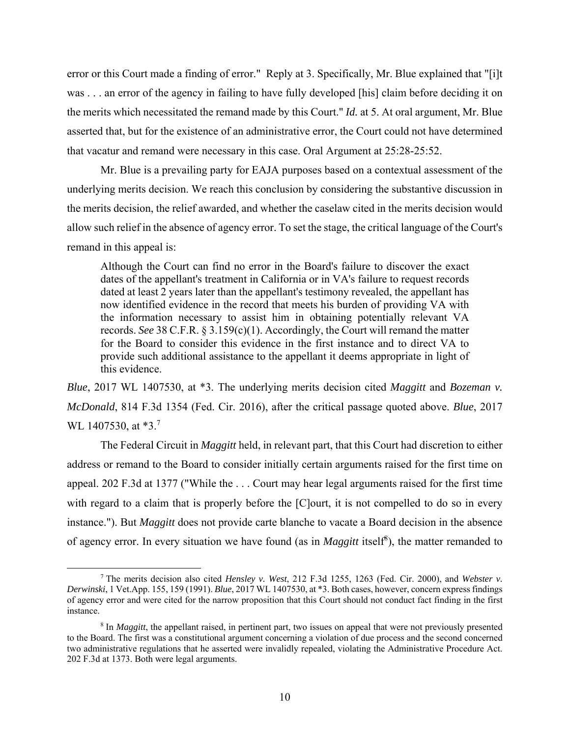error or this Court made a finding of error." Reply at 3. Specifically, Mr. Blue explained that "[i]t was . . . an error of the agency in failing to have fully developed [his] claim before deciding it on the merits which necessitated the remand made by this Court." *Id.* at 5. At oral argument, Mr. Blue asserted that, but for the existence of an administrative error, the Court could not have determined that vacatur and remand were necessary in this case. Oral Argument at 25:28-25:52.

Mr. Blue is a prevailing party for EAJA purposes based on a contextual assessment of the underlying merits decision. We reach this conclusion by considering the substantive discussion in the merits decision, the relief awarded, and whether the caselaw cited in the merits decision would allow such relief in the absence of agency error. To set the stage, the critical language of the Court's remand in this appeal is:

Although the Court can find no error in the Board's failure to discover the exact dates of the appellant's treatment in California or in VA's failure to request records dated at least 2 years later than the appellant's testimony revealed, the appellant has now identified evidence in the record that meets his burden of providing VA with the information necessary to assist him in obtaining potentially relevant VA records. *See* 38 C.F.R. § 3.159(c)(1). Accordingly, the Court will remand the matter for the Board to consider this evidence in the first instance and to direct VA to provide such additional assistance to the appellant it deems appropriate in light of this evidence.

*Blue*, 2017 WL 1407530, at \*3. The underlying merits decision cited *Maggitt* and *Bozeman v. McDonald*, 814 F.3d 1354 (Fed. Cir. 2016), after the critical passage quoted above. *Blue*, 2017 WL 1407530, at \*3.<sup>7</sup>

The Federal Circuit in *Maggitt* held, in relevant part, that this Court had discretion to either address or remand to the Board to consider initially certain arguments raised for the first time on appeal. 202 F.3d at 1377 ("While the . . . Court may hear legal arguments raised for the first time with regard to a claim that is properly before the [C]ourt, it is not compelled to do so in every instance."). But *Maggitt* does not provide carte blanche to vacate a Board decision in the absence of agency error. In every situation we have found (as in *Maggitt* itself<sup>8</sup>), the matter remanded to

 $\begin{array}{c|c}\n\hline\n\end{array}$  The merits decision also cited *Hensley v. West*, 212 F.3d 1255, 1263 (Fed. Cir. 2000), and *Webster v. Derwinski*, 1 Vet.App. 155, 159 (1991). *Blue*, 2017 WL 1407530, at \*3. Both cases, however, concern express findings of agency error and were cited for the narrow proposition that this Court should not conduct fact finding in the first instance.

<sup>&</sup>lt;sup>8</sup> In *Maggitt*, the appellant raised, in pertinent part, two issues on appeal that were not previously presented to the Board. The first was a constitutional argument concerning a violation of due process and the second concerned two administrative regulations that he asserted were invalidly repealed, violating the Administrative Procedure Act. 202 F.3d at 1373. Both were legal arguments.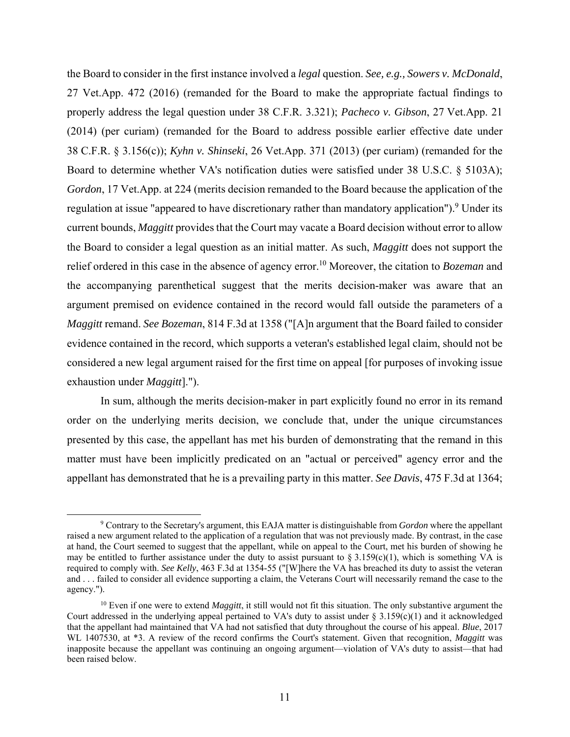the Board to consider in the first instance involved a *legal* question. *See, e.g., Sowers v. McDonald*, 27 Vet.App. 472 (2016) (remanded for the Board to make the appropriate factual findings to properly address the legal question under 38 C.F.R. 3.321); *Pacheco v. Gibson*, 27 Vet.App. 21 (2014) (per curiam) (remanded for the Board to address possible earlier effective date under 38 C.F.R. § 3.156(c)); *Kyhn v. Shinseki*, 26 Vet.App. 371 (2013) (per curiam) (remanded for the Board to determine whether VA's notification duties were satisfied under 38 U.S.C. § 5103A); *Gordon*, 17 Vet.App. at 224 (merits decision remanded to the Board because the application of the regulation at issue "appeared to have discretionary rather than mandatory application").<sup>9</sup> Under its current bounds, *Maggitt* provides that the Court may vacate a Board decision without error to allow the Board to consider a legal question as an initial matter. As such, *Maggitt* does not support the relief ordered in this case in the absence of agency error.10 Moreover, the citation to *Bozeman* and the accompanying parenthetical suggest that the merits decision-maker was aware that an argument premised on evidence contained in the record would fall outside the parameters of a *Maggitt* remand. *See Bozeman*, 814 F.3d at 1358 ("[A]n argument that the Board failed to consider evidence contained in the record, which supports a veteran's established legal claim, should not be considered a new legal argument raised for the first time on appeal [for purposes of invoking issue exhaustion under *Maggitt*].").

In sum, although the merits decision-maker in part explicitly found no error in its remand order on the underlying merits decision, we conclude that, under the unique circumstances presented by this case, the appellant has met his burden of demonstrating that the remand in this matter must have been implicitly predicated on an "actual or perceived" agency error and the appellant has demonstrated that he is a prevailing party in this matter. *See Davis*, 475 F.3d at 1364;

 $\frac{1}{9}$  Contrary to the Secretary's argument, this EAJA matter is distinguishable from *Gordon* where the appellant raised a new argument related to the application of a regulation that was not previously made. By contrast, in the case at hand, the Court seemed to suggest that the appellant, while on appeal to the Court, met his burden of showing he may be entitled to further assistance under the duty to assist pursuant to  $\S 3.159(c)(1)$ , which is something VA is required to comply with. *See Kelly*, 463 F.3d at 1354-55 ("[W]here the VA has breached its duty to assist the veteran and . . . failed to consider all evidence supporting a claim, the Veterans Court will necessarily remand the case to the agency.").

<sup>&</sup>lt;sup>10</sup> Even if one were to extend *Maggitt*, it still would not fit this situation. The only substantive argument the Court addressed in the underlying appeal pertained to VA's duty to assist under  $\S 3.159(c)(1)$  and it acknowledged that the appellant had maintained that VA had not satisfied that duty throughout the course of his appeal. *Blue*, 2017 WL 1407530, at \*3. A review of the record confirms the Court's statement. Given that recognition, *Maggitt* was inapposite because the appellant was continuing an ongoing argument—violation of VA's duty to assist—that had been raised below.